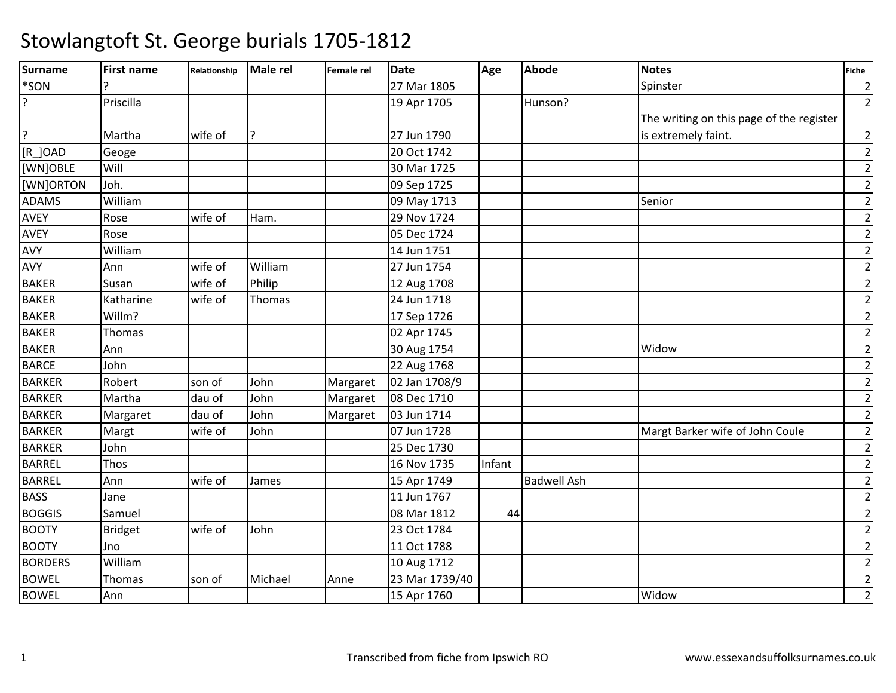| Surname        | <b>First name</b> | Relationship | <b>Male rel</b> | Female rel | <b>Date</b>    | Age    | <b>Abode</b>       | <b>Notes</b>                             | <b>Fiche</b>   |
|----------------|-------------------|--------------|-----------------|------------|----------------|--------|--------------------|------------------------------------------|----------------|
| *SON           |                   |              |                 |            | 27 Mar 1805    |        |                    | Spinster                                 | $\overline{2}$ |
| $\overline{?}$ | Priscilla         |              |                 |            | 19 Apr 1705    |        | Hunson?            |                                          | $\overline{2}$ |
|                |                   |              |                 |            |                |        |                    | The writing on this page of the register |                |
| ?              | Martha            | wife of      | י?              |            | 27 Jun 1790    |        |                    | is extremely faint.                      | $\mathbf{2}$   |
| [R ] OAD       | Geoge             |              |                 |            | 20 Oct 1742    |        |                    |                                          | $\mathbf{2}$   |
| [WN]OBLE       | Will              |              |                 |            | 30 Mar 1725    |        |                    |                                          | $\mathbf{2}$   |
| [WN]ORTON      | Joh.              |              |                 |            | 09 Sep 1725    |        |                    |                                          | $\overline{2}$ |
| <b>ADAMS</b>   | William           |              |                 |            | 09 May 1713    |        |                    | Senior                                   | $\overline{2}$ |
| <b>AVEY</b>    | Rose              | wife of      | Ham.            |            | 29 Nov 1724    |        |                    |                                          | $\overline{2}$ |
| <b>AVEY</b>    | Rose              |              |                 |            | 05 Dec 1724    |        |                    |                                          | $\overline{2}$ |
| AVY            | William           |              |                 |            | 14 Jun 1751    |        |                    |                                          | $\mathbf{2}$   |
| AVY            | Ann               | wife of      | William         |            | 27 Jun 1754    |        |                    |                                          | $\overline{2}$ |
| <b>BAKER</b>   | Susan             | wife of      | Philip          |            | 12 Aug 1708    |        |                    |                                          | $\overline{2}$ |
| <b>BAKER</b>   | Katharine         | wife of      | Thomas          |            | 24 Jun 1718    |        |                    |                                          | $\mathbf{2}$   |
| <b>BAKER</b>   | Willm?            |              |                 |            | 17 Sep 1726    |        |                    |                                          | $\mathbf{2}$   |
| <b>BAKER</b>   | <b>Thomas</b>     |              |                 |            | 02 Apr 1745    |        |                    |                                          | $\overline{2}$ |
| <b>BAKER</b>   | Ann               |              |                 |            | 30 Aug 1754    |        |                    | Widow                                    | $\overline{2}$ |
| <b>BARCE</b>   | John              |              |                 |            | 22 Aug 1768    |        |                    |                                          | $\overline{2}$ |
| <b>BARKER</b>  | Robert            | son of       | John            | Margaret   | 02 Jan 1708/9  |        |                    |                                          | $\mathbf{2}$   |
| <b>BARKER</b>  | Martha            | dau of       | John            | Margaret   | 08 Dec 1710    |        |                    |                                          | $\overline{2}$ |
| <b>BARKER</b>  | Margaret          | dau of       | John            | Margaret   | 03 Jun 1714    |        |                    |                                          | $\mathbf{2}$   |
| <b>BARKER</b>  | Margt             | wife of      | John            |            | 07 Jun 1728    |        |                    | Margt Barker wife of John Coule          | $\mathbf{2}$   |
| <b>BARKER</b>  | John              |              |                 |            | 25 Dec 1730    |        |                    |                                          | $\mathbf{2}$   |
| <b>BARREL</b>  | Thos              |              |                 |            | 16 Nov 1735    | Infant |                    |                                          | $\overline{2}$ |
| <b>BARREL</b>  | Ann               | wife of      | James           |            | 15 Apr 1749    |        | <b>Badwell Ash</b> |                                          | $\mathbf{2}$   |
| <b>BASS</b>    | Jane              |              |                 |            | 11 Jun 1767    |        |                    |                                          | $\overline{2}$ |
| <b>BOGGIS</b>  | Samuel            |              |                 |            | 08 Mar 1812    | 44     |                    |                                          | $\mathbf{2}$   |
| <b>BOOTY</b>   | <b>Bridget</b>    | wife of      | John            |            | 23 Oct 1784    |        |                    |                                          | $\overline{2}$ |
| <b>BOOTY</b>   | Jno               |              |                 |            | 11 Oct 1788    |        |                    |                                          | $\overline{2}$ |
| <b>BORDERS</b> | William           |              |                 |            | 10 Aug 1712    |        |                    |                                          | $\mathbf{2}$   |
| <b>BOWEL</b>   | Thomas            | son of       | Michael         | Anne       | 23 Mar 1739/40 |        |                    |                                          | $\mathbf{2}$   |
| <b>BOWEL</b>   | Ann               |              |                 |            | 15 Apr 1760    |        |                    | Widow                                    | $\overline{2}$ |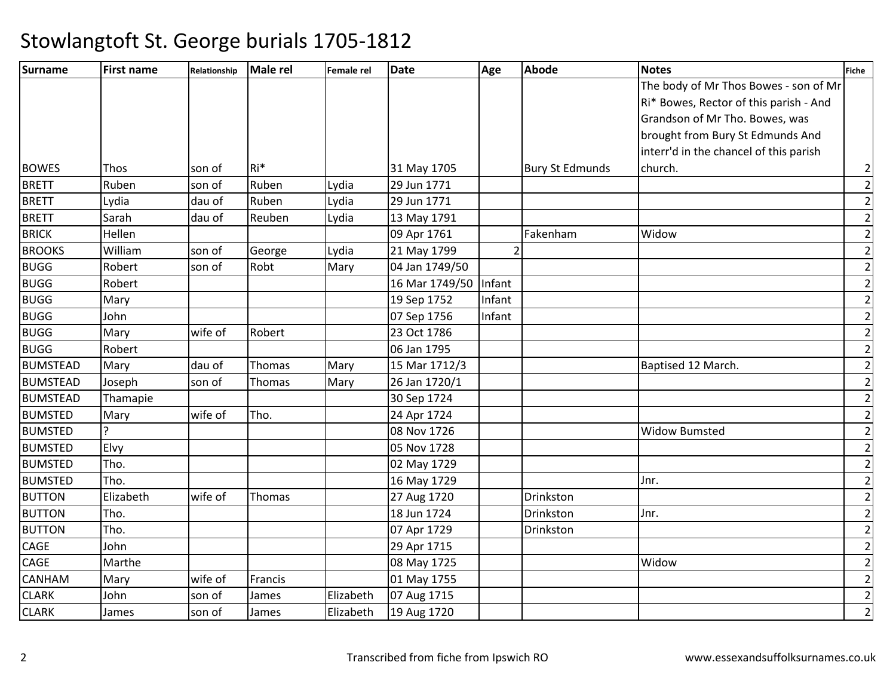| <b>Surname</b>  | <b>First name</b> | Relationship | Male rel | Female rel | <b>Date</b>    | Age            | <b>Abode</b>           | <b>Notes</b>                           | Fiche          |
|-----------------|-------------------|--------------|----------|------------|----------------|----------------|------------------------|----------------------------------------|----------------|
|                 |                   |              |          |            |                |                |                        | The body of Mr Thos Bowes - son of Mr  |                |
|                 |                   |              |          |            |                |                |                        | Ri* Bowes, Rector of this parish - And |                |
|                 |                   |              |          |            |                |                |                        | Grandson of Mr Tho. Bowes, was         |                |
|                 |                   |              |          |            |                |                |                        | brought from Bury St Edmunds And       |                |
|                 |                   |              |          |            |                |                |                        | interr'd in the chancel of this parish |                |
| <b>BOWES</b>    | Thos              | son of       | Ri*      |            | 31 May 1705    |                | <b>Bury St Edmunds</b> | church.                                | $\overline{2}$ |
| <b>BRETT</b>    | Ruben             | son of       | Ruben    | Lydia      | 29 Jun 1771    |                |                        |                                        | $\mathbf{2}$   |
| <b>BRETT</b>    | Lydia             | dau of       | Ruben    | Lydia      | 29 Jun 1771    |                |                        |                                        | $\overline{2}$ |
| <b>BRETT</b>    | Sarah             | dau of       | Reuben   | Lydia      | 13 May 1791    |                |                        |                                        | $\overline{2}$ |
| <b>BRICK</b>    | Hellen            |              |          |            | 09 Apr 1761    |                | Fakenham               | Widow                                  | $\overline{2}$ |
| <b>BROOKS</b>   | William           | son of       | George   | Lydia      | 21 May 1799    | $\overline{2}$ |                        |                                        | $\overline{2}$ |
| <b>BUGG</b>     | Robert            | son of       | Robt     | Mary       | 04 Jan 1749/50 |                |                        |                                        | $\overline{2}$ |
| <b>BUGG</b>     | Robert            |              |          |            | 16 Mar 1749/50 | Infant         |                        |                                        | $\overline{2}$ |
| <b>BUGG</b>     | Mary              |              |          |            | 19 Sep 1752    | Infant         |                        |                                        | $\overline{2}$ |
| <b>BUGG</b>     | John              |              |          |            | 07 Sep 1756    | Infant         |                        |                                        | $\overline{2}$ |
| <b>BUGG</b>     | Mary              | wife of      | Robert   |            | 23 Oct 1786    |                |                        |                                        | $\overline{2}$ |
| <b>BUGG</b>     | Robert            |              |          |            | 06 Jan 1795    |                |                        |                                        | $\overline{2}$ |
| <b>BUMSTEAD</b> | Mary              | dau of       | Thomas   | Mary       | 15 Mar 1712/3  |                |                        | Baptised 12 March.                     | $\overline{2}$ |
| <b>BUMSTEAD</b> | Joseph            | son of       | Thomas   | Mary       | 26 Jan 1720/1  |                |                        |                                        | $\overline{2}$ |
| <b>BUMSTEAD</b> | Thamapie          |              |          |            | 30 Sep 1724    |                |                        |                                        | $\overline{2}$ |
| <b>BUMSTED</b>  | Mary              | wife of      | Tho.     |            | 24 Apr 1724    |                |                        |                                        | $\overline{2}$ |
| <b>BUMSTED</b>  |                   |              |          |            | 08 Nov 1726    |                |                        | <b>Widow Bumsted</b>                   | $\overline{2}$ |
| <b>BUMSTED</b>  | Elvy              |              |          |            | 05 Nov 1728    |                |                        |                                        | $\overline{2}$ |
| <b>BUMSTED</b>  | Tho.              |              |          |            | 02 May 1729    |                |                        |                                        | $\overline{2}$ |
| <b>BUMSTED</b>  | Tho.              |              |          |            | 16 May 1729    |                |                        | Jnr.                                   | $\overline{2}$ |
| <b>BUTTON</b>   | Elizabeth         | wife of      | Thomas   |            | 27 Aug 1720    |                | Drinkston              |                                        | $\overline{2}$ |
| <b>BUTTON</b>   | Tho.              |              |          |            | 18 Jun 1724    |                | Drinkston              | Jnr.                                   | $\overline{2}$ |
| <b>BUTTON</b>   | Tho.              |              |          |            | 07 Apr 1729    |                | Drinkston              |                                        | $\overline{2}$ |
| <b>CAGE</b>     | John              |              |          |            | 29 Apr 1715    |                |                        |                                        | $\overline{2}$ |
| CAGE            | Marthe            |              |          |            | 08 May 1725    |                |                        | Widow                                  | $\overline{2}$ |
| CANHAM          | Mary              | wife of      | Francis  |            | 01 May 1755    |                |                        |                                        | $\overline{2}$ |
| <b>CLARK</b>    | John              | son of       | James    | Elizabeth  | 07 Aug 1715    |                |                        |                                        | $\overline{2}$ |
| <b>CLARK</b>    | James             | son of       | James    | Elizabeth  | 19 Aug 1720    |                |                        |                                        | $\overline{2}$ |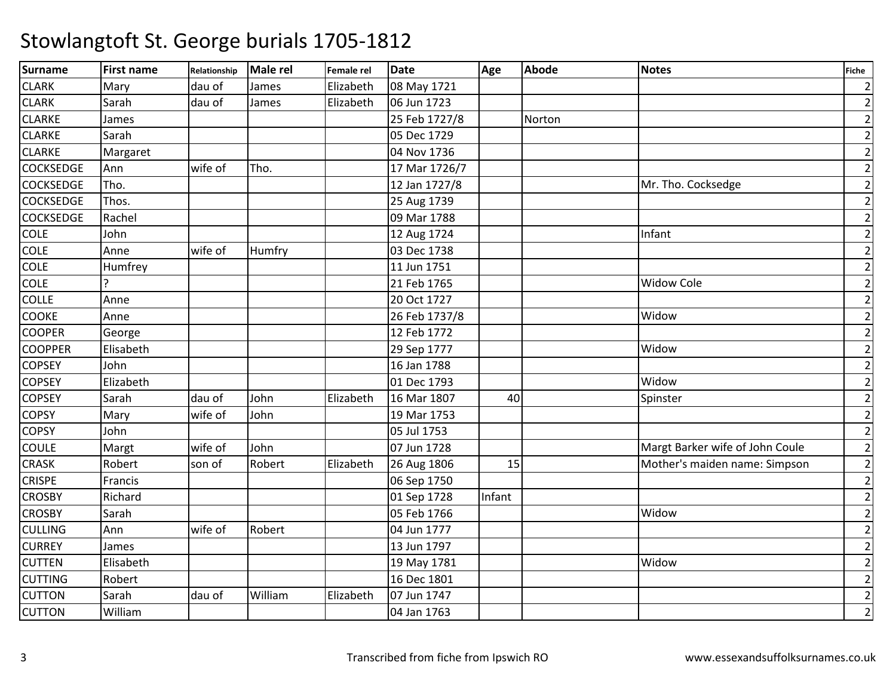| <b>Surname</b>   | <b>First name</b> | Relationship | Male rel | Female rel | <b>Date</b>   | Age    | <b>Abode</b> | <b>Notes</b>                    | <b>Fiche</b>   |
|------------------|-------------------|--------------|----------|------------|---------------|--------|--------------|---------------------------------|----------------|
| <b>CLARK</b>     | Mary              | dau of       | James    | Elizabeth  | 08 May 1721   |        |              |                                 | $\overline{2}$ |
| <b>CLARK</b>     | Sarah             | dau of       | James    | Elizabeth  | 06 Jun 1723   |        |              |                                 | $\overline{2}$ |
| <b>CLARKE</b>    | James             |              |          |            | 25 Feb 1727/8 |        | Norton       |                                 | $\mathbf{2}$   |
| <b>CLARKE</b>    | Sarah             |              |          |            | 05 Dec 1729   |        |              |                                 | $\mathbf{2}$   |
| <b>CLARKE</b>    | Margaret          |              |          |            | 04 Nov 1736   |        |              |                                 | $\overline{2}$ |
| <b>COCKSEDGE</b> | Ann               | wife of      | Tho.     |            | 17 Mar 1726/7 |        |              |                                 | $\overline{2}$ |
| <b>COCKSEDGE</b> | Tho.              |              |          |            | 12 Jan 1727/8 |        |              | Mr. Tho. Cocksedge              | $\overline{2}$ |
| <b>COCKSEDGE</b> | Thos.             |              |          |            | 25 Aug 1739   |        |              |                                 | $\mathbf{2}$   |
| <b>COCKSEDGE</b> | Rachel            |              |          |            | 09 Mar 1788   |        |              |                                 | $\overline{2}$ |
| <b>COLE</b>      | John              |              |          |            | 12 Aug 1724   |        |              | Infant                          | $\overline{2}$ |
| <b>COLE</b>      | Anne              | wife of      | Humfry   |            | 03 Dec 1738   |        |              |                                 | $\overline{2}$ |
| COLE             | Humfrey           |              |          |            | 11 Jun 1751   |        |              |                                 | $\mathbf{2}$   |
| <b>COLE</b>      | ς                 |              |          |            | 21 Feb 1765   |        |              | <b>Widow Cole</b>               | $\overline{2}$ |
| COLLE            | Anne              |              |          |            | 20 Oct 1727   |        |              |                                 | $\overline{2}$ |
| <b>COOKE</b>     | Anne              |              |          |            | 26 Feb 1737/8 |        |              | Widow                           | $\overline{2}$ |
| <b>COOPER</b>    | George            |              |          |            | 12 Feb 1772   |        |              |                                 | $\mathbf{2}$   |
| <b>COOPPER</b>   | Elisabeth         |              |          |            | 29 Sep 1777   |        |              | Widow                           | $\overline{2}$ |
| <b>COPSEY</b>    | John              |              |          |            | 16 Jan 1788   |        |              |                                 | $\mathbf{2}$   |
| <b>COPSEY</b>    | Elizabeth         |              |          |            | 01 Dec 1793   |        |              | Widow                           | $\mathbf{2}$   |
| <b>COPSEY</b>    | Sarah             | dau of       | John     | Elizabeth  | 16 Mar 1807   | 40     |              | Spinster                        | $\mathbf{2}$   |
| <b>COPSY</b>     | Mary              | wife of      | John     |            | 19 Mar 1753   |        |              |                                 | $\mathbf{2}$   |
| <b>COPSY</b>     | John              |              |          |            | 05 Jul 1753   |        |              |                                 | $\overline{2}$ |
| <b>COULE</b>     | Margt             | wife of      | John     |            | 07 Jun 1728   |        |              | Margt Barker wife of John Coule | $\overline{2}$ |
| <b>CRASK</b>     | Robert            | son of       | Robert   | Elizabeth  | 26 Aug 1806   | 15     |              | Mother's maiden name: Simpson   | $\mathbf{2}$   |
| <b>CRISPE</b>    | Francis           |              |          |            | 06 Sep 1750   |        |              |                                 | $\mathbf{2}$   |
| <b>CROSBY</b>    | Richard           |              |          |            | 01 Sep 1728   | Infant |              |                                 | $\overline{2}$ |
| <b>CROSBY</b>    | Sarah             |              |          |            | 05 Feb 1766   |        |              | Widow                           | $\mathbf{2}$   |
| <b>CULLING</b>   | Ann               | wife of      | Robert   |            | 04 Jun 1777   |        |              |                                 | $\overline{2}$ |
| <b>CURREY</b>    | James             |              |          |            | 13 Jun 1797   |        |              |                                 | $\mathbf{2}$   |
| <b>CUTTEN</b>    | Elisabeth         |              |          |            | 19 May 1781   |        |              | Widow                           | $\mathbf{2}$   |
| <b>CUTTING</b>   | Robert            |              |          |            | 16 Dec 1801   |        |              |                                 | $\mathbf{2}$   |
| <b>CUTTON</b>    | Sarah             | dau of       | William  | Elizabeth  | 07 Jun 1747   |        |              |                                 | $\overline{2}$ |
| <b>CUTTON</b>    | William           |              |          |            | 04 Jan 1763   |        |              |                                 | $\overline{2}$ |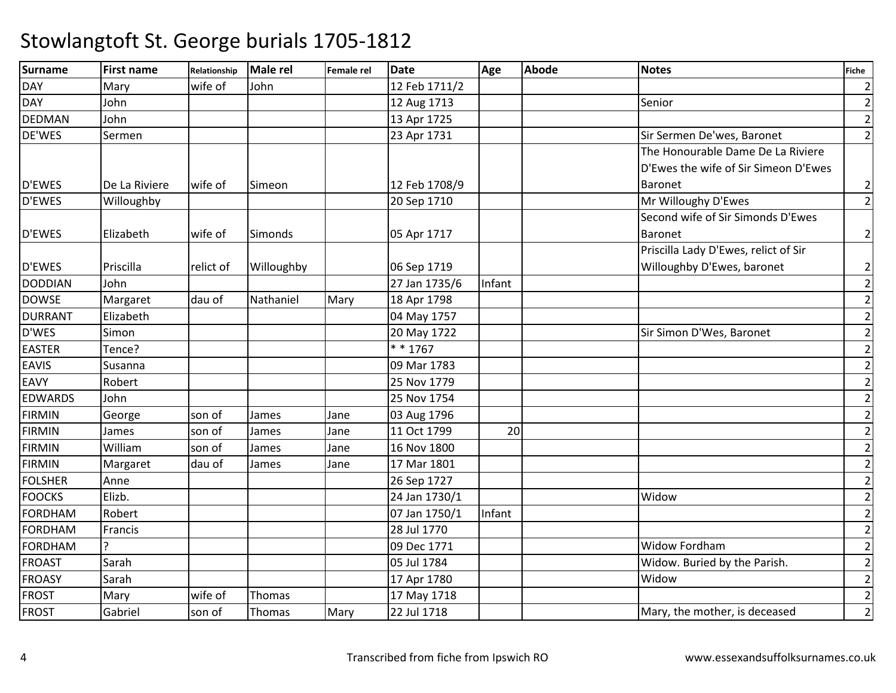| <b>Surname</b> | <b>First name</b> | Relationship | Male rel   | Female rel | <b>Date</b>   | Age    | <b>Abode</b> | <b>Notes</b>                         | Fiche          |
|----------------|-------------------|--------------|------------|------------|---------------|--------|--------------|--------------------------------------|----------------|
| DAY            | Mary              | wife of      | John       |            | 12 Feb 1711/2 |        |              |                                      | $\overline{2}$ |
| <b>DAY</b>     | John              |              |            |            | 12 Aug 1713   |        |              | Senior                               | $\overline{2}$ |
| <b>DEDMAN</b>  | John              |              |            |            | 13 Apr 1725   |        |              |                                      | $\overline{2}$ |
| DE'WES         | Sermen            |              |            |            | 23 Apr 1731   |        |              | Sir Sermen De'wes, Baronet           | $\overline{2}$ |
|                |                   |              |            |            |               |        |              | The Honourable Dame De La Riviere    |                |
|                |                   |              |            |            |               |        |              | D'Ewes the wife of Sir Simeon D'Ewes |                |
| <b>D'EWES</b>  | De La Riviere     | wife of      | Simeon     |            | 12 Feb 1708/9 |        |              | Baronet                              | $\overline{2}$ |
| <b>D'EWES</b>  | Willoughby        |              |            |            | 20 Sep 1710   |        |              | Mr Willoughy D'Ewes                  | $\overline{2}$ |
|                |                   |              |            |            |               |        |              | Second wife of Sir Simonds D'Ewes    |                |
| <b>D'EWES</b>  | Elizabeth         | wife of      | Simonds    |            | 05 Apr 1717   |        |              | Baronet                              | $\overline{2}$ |
|                |                   |              |            |            |               |        |              | Priscilla Lady D'Ewes, relict of Sir |                |
| <b>D'EWES</b>  | Priscilla         | relict of    | Willoughby |            | 06 Sep 1719   |        |              | Willoughby D'Ewes, baronet           | $\overline{2}$ |
| <b>DODDIAN</b> | John              |              |            |            | 27 Jan 1735/6 | Infant |              |                                      | $\mathbf{2}$   |
| <b>DOWSE</b>   | Margaret          | dau of       | Nathaniel  | Mary       | 18 Apr 1798   |        |              |                                      | $\overline{2}$ |
| <b>DURRANT</b> | Elizabeth         |              |            |            | 04 May 1757   |        |              |                                      | $\overline{2}$ |
| D'WES          | Simon             |              |            |            | 20 May 1722   |        |              | Sir Simon D'Wes, Baronet             | $\overline{2}$ |
| <b>EASTER</b>  | Tence?            |              |            |            | * * 1767      |        |              |                                      | $\overline{2}$ |
| <b>EAVIS</b>   | Susanna           |              |            |            | 09 Mar 1783   |        |              |                                      | $\mathbf 2$    |
| <b>EAVY</b>    | Robert            |              |            |            | 25 Nov 1779   |        |              |                                      | $\overline{2}$ |
| <b>EDWARDS</b> | John              |              |            |            | 25 Nov 1754   |        |              |                                      | $\overline{2}$ |
| <b>FIRMIN</b>  | George            | son of       | James      | Jane       | 03 Aug 1796   |        |              |                                      | $\overline{2}$ |
| <b>FIRMIN</b>  | James             | son of       | James      | Jane       | 11 Oct 1799   | 20     |              |                                      | $\overline{2}$ |
| <b>FIRMIN</b>  | William           | son of       | James      | Jane       | 16 Nov 1800   |        |              |                                      | $\overline{2}$ |
| <b>FIRMIN</b>  | Margaret          | dau of       | James      | Jane       | 17 Mar 1801   |        |              |                                      | $\overline{2}$ |
| <b>FOLSHER</b> | Anne              |              |            |            | 26 Sep 1727   |        |              |                                      | $\overline{2}$ |
| <b>FOOCKS</b>  | Elizb.            |              |            |            | 24 Jan 1730/1 |        |              | Widow                                | $\overline{2}$ |
| <b>FORDHAM</b> | Robert            |              |            |            | 07 Jan 1750/1 | Infant |              |                                      | $\overline{2}$ |
| <b>FORDHAM</b> | Francis           |              |            |            | 28 Jul 1770   |        |              |                                      | $\mathbf 2$    |
| <b>FORDHAM</b> | ͻ                 |              |            |            | 09 Dec 1771   |        |              | <b>Widow Fordham</b>                 | $\overline{2}$ |
| <b>FROAST</b>  | Sarah             |              |            |            | 05 Jul 1784   |        |              | Widow. Buried by the Parish.         | $\overline{2}$ |
| <b>FROASY</b>  | Sarah             |              |            |            | 17 Apr 1780   |        |              | Widow                                | $\overline{2}$ |
| <b>FROST</b>   | Mary              | wife of      | Thomas     |            | 17 May 1718   |        |              |                                      | $\overline{2}$ |
| <b>FROST</b>   | Gabriel           | son of       | Thomas     | Mary       | 22 Jul 1718   |        |              | Mary, the mother, is deceased        | $\overline{2}$ |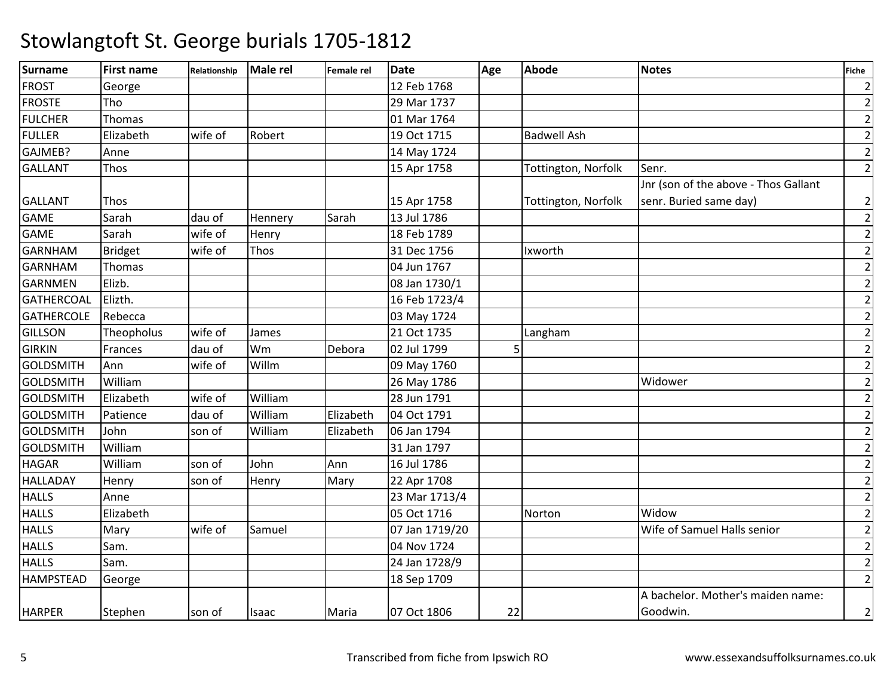| <b>Surname</b>    | <b>First name</b> | Relationship | Male rel | Female rel | <b>Date</b>    | Age | <b>Abode</b>        | <b>Notes</b>                         | Fiche          |
|-------------------|-------------------|--------------|----------|------------|----------------|-----|---------------------|--------------------------------------|----------------|
| <b>FROST</b>      | George            |              |          |            | 12 Feb 1768    |     |                     |                                      | $\overline{2}$ |
| <b>FROSTE</b>     | Tho               |              |          |            | 29 Mar 1737    |     |                     |                                      | $\mathbf{2}$   |
| <b>FULCHER</b>    | Thomas            |              |          |            | 01 Mar 1764    |     |                     |                                      | $\mathbf{2}$   |
| <b>FULLER</b>     | Elizabeth         | wife of      | Robert   |            | 19 Oct 1715    |     | <b>Badwell Ash</b>  |                                      | $\overline{2}$ |
| GAJMEB?           | Anne              |              |          |            | 14 May 1724    |     |                     |                                      | $\mathbf{2}$   |
| <b>GALLANT</b>    | Thos              |              |          |            | 15 Apr 1758    |     | Tottington, Norfolk | Senr.                                | $\overline{2}$ |
|                   |                   |              |          |            |                |     |                     | Jnr (son of the above - Thos Gallant |                |
| <b>GALLANT</b>    | Thos              |              |          |            | 15 Apr 1758    |     | Tottington, Norfolk | senr. Buried same day)               | $\mathbf{2}$   |
| <b>GAME</b>       | Sarah             | dau of       | Hennery  | Sarah      | 13 Jul 1786    |     |                     |                                      | $\mathbf{2}$   |
| <b>GAME</b>       | Sarah             | wife of      | Henry    |            | 18 Feb 1789    |     |                     |                                      | $\mathbf{2}$   |
| <b>GARNHAM</b>    | <b>Bridget</b>    | wife of      | Thos     |            | 31 Dec 1756    |     | Ixworth             |                                      | $\overline{2}$ |
| <b>GARNHAM</b>    | Thomas            |              |          |            | 04 Jun 1767    |     |                     |                                      | $\mathbf{2}$   |
| <b>GARNMEN</b>    | Elizb.            |              |          |            | 08 Jan 1730/1  |     |                     |                                      | $\mathbf{2}$   |
| <b>GATHERCOAL</b> | Elizth.           |              |          |            | 16 Feb 1723/4  |     |                     |                                      | $\mathbf{2}$   |
| <b>GATHERCOLE</b> | Rebecca           |              |          |            | 03 May 1724    |     |                     |                                      | $\mathbf{2}$   |
| <b>GILLSON</b>    | Theopholus        | wife of      | James    |            | 21 Oct 1735    |     | Langham             |                                      | $\overline{2}$ |
| <b>GIRKIN</b>     | Frances           | dau of       | Wm       | Debora     | 02 Jul 1799    | 5   |                     |                                      | $\mathbf{2}$   |
| <b>GOLDSMITH</b>  | Ann               | wife of      | Willm    |            | 09 May 1760    |     |                     |                                      | $\mathbf{2}$   |
| <b>GOLDSMITH</b>  | William           |              |          |            | 26 May 1786    |     |                     | Widower                              | $\overline{2}$ |
| <b>GOLDSMITH</b>  | Elizabeth         | wife of      | William  |            | 28 Jun 1791    |     |                     |                                      | $\mathbf{2}$   |
| <b>GOLDSMITH</b>  | Patience          | dau of       | William  | Elizabeth  | 04 Oct 1791    |     |                     |                                      | $\overline{2}$ |
| <b>GOLDSMITH</b>  | John              | son of       | William  | Elizabeth  | 06 Jan 1794    |     |                     |                                      | $\mathbf{2}$   |
| <b>GOLDSMITH</b>  | William           |              |          |            | 31 Jan 1797    |     |                     |                                      | $\overline{2}$ |
| <b>HAGAR</b>      | William           | son of       | John     | Ann        | 16 Jul 1786    |     |                     |                                      | $\mathbf{2}$   |
| <b>HALLADAY</b>   | Henry             | son of       | Henry    | Mary       | 22 Apr 1708    |     |                     |                                      | $\mathbf{2}$   |
| <b>HALLS</b>      | Anne              |              |          |            | 23 Mar 1713/4  |     |                     |                                      | $\overline{2}$ |
| <b>HALLS</b>      | Elizabeth         |              |          |            | 05 Oct 1716    |     | Norton              | Widow                                | $\mathbf{2}$   |
| <b>HALLS</b>      | Mary              | wife of      | Samuel   |            | 07 Jan 1719/20 |     |                     | Wife of Samuel Halls senior          | $\mathbf{2}$   |
| <b>HALLS</b>      | Sam.              |              |          |            | 04 Nov 1724    |     |                     |                                      | $\overline{2}$ |
| <b>HALLS</b>      | Sam.              |              |          |            | 24 Jan 1728/9  |     |                     |                                      | $\overline{2}$ |
| <b>HAMPSTEAD</b>  | George            |              |          |            | 18 Sep 1709    |     |                     |                                      | $\overline{2}$ |
|                   |                   |              |          |            |                |     |                     | A bachelor. Mother's maiden name:    |                |
| <b>HARPER</b>     | Stephen           | son of       | Isaac    | Maria      | 07 Oct 1806    | 22  |                     | Goodwin.                             | $\overline{2}$ |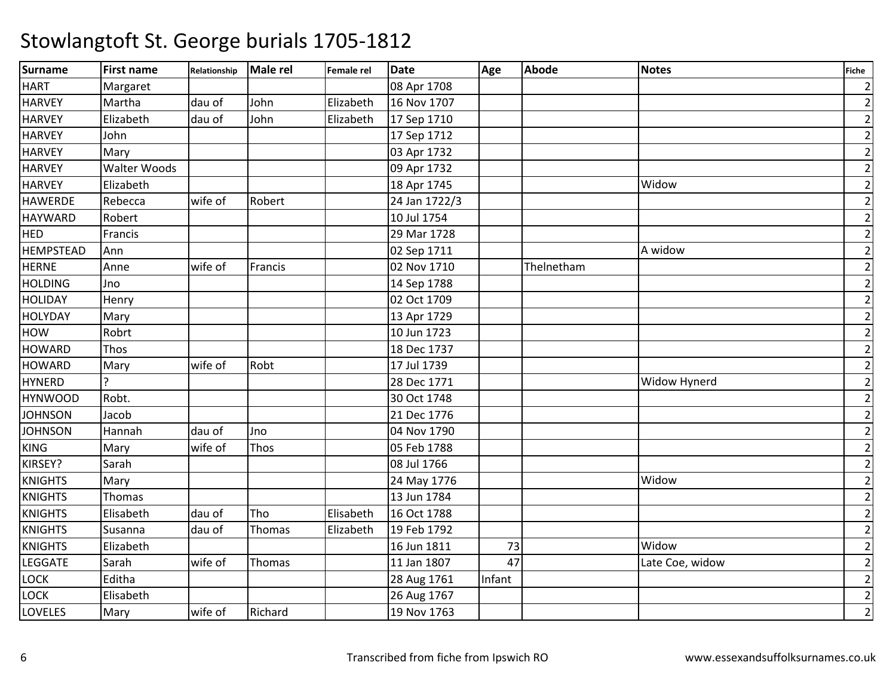| <b>Surname</b>   | <b>First name</b>   | Relationship | Male rel | Female rel | <b>Date</b>   | Age    | <b>Abode</b> | <b>Notes</b>    | <b>Fiche</b>   |
|------------------|---------------------|--------------|----------|------------|---------------|--------|--------------|-----------------|----------------|
| <b>HART</b>      | Margaret            |              |          |            | 08 Apr 1708   |        |              |                 | $\overline{2}$ |
| <b>HARVEY</b>    | Martha              | dau of       | John     | Elizabeth  | 16 Nov 1707   |        |              |                 | $\overline{2}$ |
| <b>HARVEY</b>    | Elizabeth           | dau of       | John     | Elizabeth  | 17 Sep 1710   |        |              |                 | $\overline{2}$ |
| <b>HARVEY</b>    | John                |              |          |            | 17 Sep 1712   |        |              |                 | $\overline{2}$ |
| <b>HARVEY</b>    | Mary                |              |          |            | 03 Apr 1732   |        |              |                 | $\mathbf{2}$   |
| <b>HARVEY</b>    | <b>Walter Woods</b> |              |          |            | 09 Apr 1732   |        |              |                 | $\overline{2}$ |
| <b>HARVEY</b>    | Elizabeth           |              |          |            | 18 Apr 1745   |        |              | Widow           | $\overline{2}$ |
| <b>HAWERDE</b>   | Rebecca             | wife of      | Robert   |            | 24 Jan 1722/3 |        |              |                 | $\overline{2}$ |
| <b>HAYWARD</b>   | Robert              |              |          |            | 10 Jul 1754   |        |              |                 | $\overline{2}$ |
| <b>HED</b>       | Francis             |              |          |            | 29 Mar 1728   |        |              |                 | $\overline{2}$ |
| <b>HEMPSTEAD</b> | Ann                 |              |          |            | 02 Sep 1711   |        |              | A widow         | $\overline{2}$ |
| <b>HERNE</b>     | Anne                | wife of      | Francis  |            | 02 Nov 1710   |        | Thelnetham   |                 | $\overline{2}$ |
| <b>HOLDING</b>   | Jno                 |              |          |            | 14 Sep 1788   |        |              |                 | $\overline{2}$ |
| <b>HOLIDAY</b>   | Henry               |              |          |            | 02 Oct 1709   |        |              |                 | $\overline{2}$ |
| <b>HOLYDAY</b>   | Mary                |              |          |            | 13 Apr 1729   |        |              |                 | $\overline{2}$ |
| HOW              | Robrt               |              |          |            | 10 Jun 1723   |        |              |                 | $\overline{2}$ |
| <b>HOWARD</b>    | Thos                |              |          |            | 18 Dec 1737   |        |              |                 | $\overline{2}$ |
| <b>HOWARD</b>    | Mary                | wife of      | Robt     |            | 17 Jul 1739   |        |              |                 | $\overline{2}$ |
| <b>HYNERD</b>    | ς                   |              |          |            | 28 Dec 1771   |        |              | Widow Hynerd    | $\overline{2}$ |
| <b>HYNWOOD</b>   | Robt.               |              |          |            | 30 Oct 1748   |        |              |                 | $\overline{2}$ |
| <b>JOHNSON</b>   | Jacob               |              |          |            | 21 Dec 1776   |        |              |                 | $\overline{2}$ |
| <b>JOHNSON</b>   | Hannah              | dau of       | Jno      |            | 04 Nov 1790   |        |              |                 | $\mathbf 2$    |
| <b>KING</b>      | Mary                | wife of      | Thos     |            | 05 Feb 1788   |        |              |                 | $\mathbf{2}$   |
| KIRSEY?          | Sarah               |              |          |            | 08 Jul 1766   |        |              |                 | $\overline{2}$ |
| <b>KNIGHTS</b>   | Mary                |              |          |            | 24 May 1776   |        |              | Widow           | $\overline{2}$ |
| <b>KNIGHTS</b>   | Thomas              |              |          |            | 13 Jun 1784   |        |              |                 | $\overline{2}$ |
| <b>KNIGHTS</b>   | Elisabeth           | dau of       | Tho      | Elisabeth  | 16 Oct 1788   |        |              |                 | $\overline{2}$ |
| <b>KNIGHTS</b>   | Susanna             | dau of       | Thomas   | Elizabeth  | 19 Feb 1792   |        |              |                 | $\overline{2}$ |
| <b>KNIGHTS</b>   | Elizabeth           |              |          |            | 16 Jun 1811   | 73     |              | Widow           | $\overline{2}$ |
| <b>LEGGATE</b>   | Sarah               | wife of      | Thomas   |            | 11 Jan 1807   | 47     |              | Late Coe, widow | $\overline{2}$ |
| LOCK             | Editha              |              |          |            | 28 Aug 1761   | Infant |              |                 | $\overline{2}$ |
| LOCK             | Elisabeth           |              |          |            | 26 Aug 1767   |        |              |                 | $\overline{2}$ |
| <b>LOVELES</b>   | Mary                | wife of      | Richard  |            | 19 Nov 1763   |        |              |                 | $\overline{2}$ |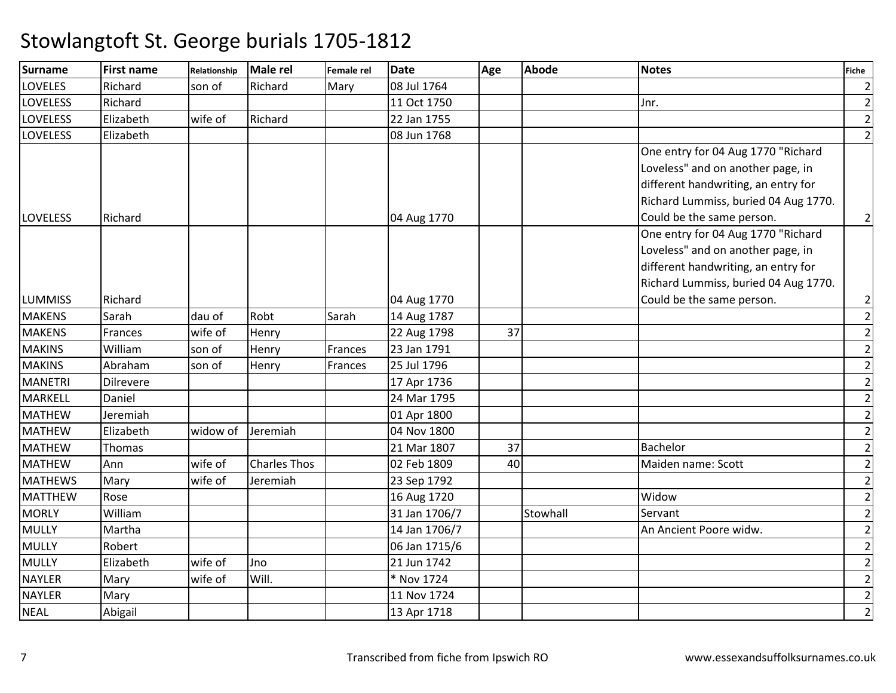| Surname         | <b>First name</b> | Relationship | <b>Male rel</b>     | <b>Female rel</b> | <b>Date</b>   | Age | <b>Abode</b> | <b>Notes</b>                         | Fiche          |
|-----------------|-------------------|--------------|---------------------|-------------------|---------------|-----|--------------|--------------------------------------|----------------|
| <b>LOVELES</b>  | Richard           | son of       | Richard             | Mary              | 08 Jul 1764   |     |              |                                      | $\overline{2}$ |
| <b>LOVELESS</b> | Richard           |              |                     |                   | 11 Oct 1750   |     |              | Jnr.                                 | $\overline{2}$ |
| <b>LOVELESS</b> | Elizabeth         | wife of      | Richard             |                   | 22 Jan 1755   |     |              |                                      | $\overline{2}$ |
| <b>LOVELESS</b> | Elizabeth         |              |                     |                   | 08 Jun 1768   |     |              |                                      | $\overline{2}$ |
|                 |                   |              |                     |                   |               |     |              | One entry for 04 Aug 1770 "Richard   |                |
|                 |                   |              |                     |                   |               |     |              | Loveless" and on another page, in    |                |
|                 |                   |              |                     |                   |               |     |              | different handwriting, an entry for  |                |
|                 |                   |              |                     |                   |               |     |              | Richard Lummiss, buried 04 Aug 1770. |                |
| <b>LOVELESS</b> | Richard           |              |                     |                   | 04 Aug 1770   |     |              | Could be the same person.            | $\overline{2}$ |
|                 |                   |              |                     |                   |               |     |              | One entry for 04 Aug 1770 "Richard   |                |
|                 |                   |              |                     |                   |               |     |              | Loveless" and on another page, in    |                |
|                 |                   |              |                     |                   |               |     |              | different handwriting, an entry for  |                |
|                 |                   |              |                     |                   |               |     |              | Richard Lummiss, buried 04 Aug 1770. |                |
| <b>LUMMISS</b>  | Richard           |              |                     |                   | 04 Aug 1770   |     |              | Could be the same person.            | $\overline{2}$ |
| <b>MAKENS</b>   | Sarah             | dau of       | Robt                | Sarah             | 14 Aug 1787   |     |              |                                      | $\overline{2}$ |
| <b>MAKENS</b>   | Frances           | wife of      | Henry               |                   | 22 Aug 1798   | 37  |              |                                      | $\overline{2}$ |
| <b>MAKINS</b>   | William           | son of       | Henry               | Frances           | 23 Jan 1791   |     |              |                                      | $\mathbf 2$    |
| <b>MAKINS</b>   | Abraham           | son of       | Henry               | Frances           | 25 Jul 1796   |     |              |                                      | $\overline{2}$ |
| <b>MANETRI</b>  | Dilrevere         |              |                     |                   | 17 Apr 1736   |     |              |                                      | $\overline{2}$ |
| <b>MARKELL</b>  | Daniel            |              |                     |                   | 24 Mar 1795   |     |              |                                      | $\overline{2}$ |
| <b>MATHEW</b>   | Jeremiah          |              |                     |                   | 01 Apr 1800   |     |              |                                      | $\overline{2}$ |
| <b>MATHEW</b>   | Elizabeth         | widow of     | Jeremiah            |                   | 04 Nov 1800   |     |              |                                      | $\overline{2}$ |
| <b>MATHEW</b>   | Thomas            |              |                     |                   | 21 Mar 1807   | 37  |              | Bachelor                             | $\overline{2}$ |
| <b>MATHEW</b>   | Ann               | wife of      | <b>Charles Thos</b> |                   | 02 Feb 1809   | 40  |              | Maiden name: Scott                   | $\overline{2}$ |
| <b>MATHEWS</b>  | Mary              | wife of      | Jeremiah            |                   | 23 Sep 1792   |     |              |                                      | $\overline{2}$ |
| <b>MATTHEW</b>  | Rose              |              |                     |                   | 16 Aug 1720   |     |              | Widow                                | $\overline{2}$ |
| <b>MORLY</b>    | William           |              |                     |                   | 31 Jan 1706/7 |     | Stowhall     | Servant                              | $\overline{2}$ |
| <b>MULLY</b>    | Martha            |              |                     |                   | 14 Jan 1706/7 |     |              | An Ancient Poore widw.               | $\mathbf 2$    |
| <b>MULLY</b>    | Robert            |              |                     |                   | 06 Jan 1715/6 |     |              |                                      | $\overline{2}$ |
| <b>MULLY</b>    | Elizabeth         | wife of      | Jno                 |                   | 21 Jun 1742   |     |              |                                      | $\overline{2}$ |
| <b>NAYLER</b>   | Mary              | wife of      | Will.               |                   | * Nov 1724    |     |              |                                      | $\overline{2}$ |
| <b>NAYLER</b>   | Mary              |              |                     |                   | 11 Nov 1724   |     |              |                                      | $\overline{2}$ |
| <b>NEAL</b>     | Abigail           |              |                     |                   | 13 Apr 1718   |     |              |                                      | $\overline{2}$ |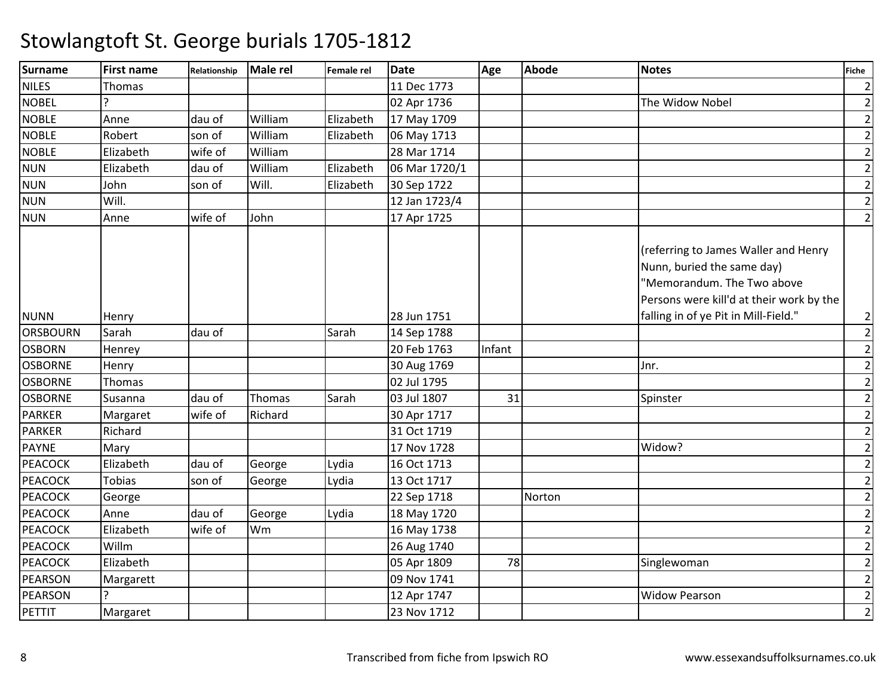| <b>Surname</b>  | <b>First name</b> | Relationship | Male rel | Female rel | <b>Date</b>   | Age    | <b>Abode</b> | <b>Notes</b>                                                                                                                                 | <b>Fiche</b>   |
|-----------------|-------------------|--------------|----------|------------|---------------|--------|--------------|----------------------------------------------------------------------------------------------------------------------------------------------|----------------|
| <b>NILES</b>    | Thomas            |              |          |            | 11 Dec 1773   |        |              |                                                                                                                                              | $\overline{2}$ |
| <b>NOBEL</b>    |                   |              |          |            | 02 Apr 1736   |        |              | The Widow Nobel                                                                                                                              | $\overline{2}$ |
| <b>NOBLE</b>    | Anne              | dau of       | William  | Elizabeth  | 17 May 1709   |        |              |                                                                                                                                              | $\overline{2}$ |
| <b>NOBLE</b>    | Robert            | son of       | William  | Elizabeth  | 06 May 1713   |        |              |                                                                                                                                              | $\overline{2}$ |
| <b>NOBLE</b>    | Elizabeth         | wife of      | William  |            | 28 Mar 1714   |        |              |                                                                                                                                              | $\overline{2}$ |
| <b>NUN</b>      | Elizabeth         | dau of       | William  | Elizabeth  | 06 Mar 1720/1 |        |              |                                                                                                                                              | $\overline{2}$ |
| <b>NUN</b>      | John              | son of       | Will.    | Elizabeth  | 30 Sep 1722   |        |              |                                                                                                                                              | $\overline{2}$ |
| <b>NUN</b>      | Will.             |              |          |            | 12 Jan 1723/4 |        |              |                                                                                                                                              | $\overline{2}$ |
| <b>NUN</b>      | Anne              | wife of      | John     |            | 17 Apr 1725   |        |              |                                                                                                                                              | $\overline{2}$ |
|                 |                   |              |          |            |               |        |              | (referring to James Waller and Henry<br>Nunn, buried the same day)<br>"Memorandum. The Two above<br>Persons were kill'd at their work by the |                |
| <b>NUNN</b>     | Henry             |              |          |            | 28 Jun 1751   |        |              | falling in of ye Pit in Mill-Field."                                                                                                         | 2              |
| <b>ORSBOURN</b> | Sarah             | dau of       |          | Sarah      | 14 Sep 1788   |        |              |                                                                                                                                              | $\overline{2}$ |
| <b>OSBORN</b>   | Henrey            |              |          |            | 20 Feb 1763   | Infant |              |                                                                                                                                              | $\overline{2}$ |
| <b>OSBORNE</b>  | Henry             |              |          |            | 30 Aug 1769   |        |              | Jnr.                                                                                                                                         | $\overline{2}$ |
| <b>OSBORNE</b>  | Thomas            |              |          |            | 02 Jul 1795   |        |              |                                                                                                                                              | $\overline{2}$ |
| <b>OSBORNE</b>  | Susanna           | dau of       | Thomas   | Sarah      | 03 Jul 1807   | 31     |              | Spinster                                                                                                                                     | $\overline{2}$ |
| <b>PARKER</b>   | Margaret          | wife of      | Richard  |            | 30 Apr 1717   |        |              |                                                                                                                                              | $\overline{2}$ |
| <b>PARKER</b>   | Richard           |              |          |            | 31 Oct 1719   |        |              |                                                                                                                                              | 2              |
| <b>PAYNE</b>    | Mary              |              |          |            | 17 Nov 1728   |        |              | Widow?                                                                                                                                       | $\overline{2}$ |
| PEACOCK         | Elizabeth         | dau of       | George   | Lydia      | 16 Oct 1713   |        |              |                                                                                                                                              | $\overline{2}$ |
| <b>PEACOCK</b>  | <b>Tobias</b>     | son of       | George   | Lydia      | 13 Oct 1717   |        |              |                                                                                                                                              | $\overline{2}$ |
| <b>PEACOCK</b>  | George            |              |          |            | 22 Sep 1718   |        | Norton       |                                                                                                                                              | $\overline{2}$ |
| <b>PEACOCK</b>  | Anne              | dau of       | George   | Lydia      | 18 May 1720   |        |              |                                                                                                                                              | $\overline{2}$ |
| <b>PEACOCK</b>  | Elizabeth         | wife of      | Wm       |            | 16 May 1738   |        |              |                                                                                                                                              | $\overline{2}$ |
| <b>PEACOCK</b>  | Willm             |              |          |            | 26 Aug 1740   |        |              |                                                                                                                                              | $\overline{2}$ |
| <b>PEACOCK</b>  | Elizabeth         |              |          |            | 05 Apr 1809   | 78     |              | Singlewoman                                                                                                                                  | $\overline{2}$ |
| <b>PEARSON</b>  | Margarett         |              |          |            | 09 Nov 1741   |        |              |                                                                                                                                              | $\overline{2}$ |
| PEARSON         |                   |              |          |            | 12 Apr 1747   |        |              | <b>Widow Pearson</b>                                                                                                                         | $\overline{2}$ |
| PETTIT          | Margaret          |              |          |            | 23 Nov 1712   |        |              |                                                                                                                                              | $\overline{2}$ |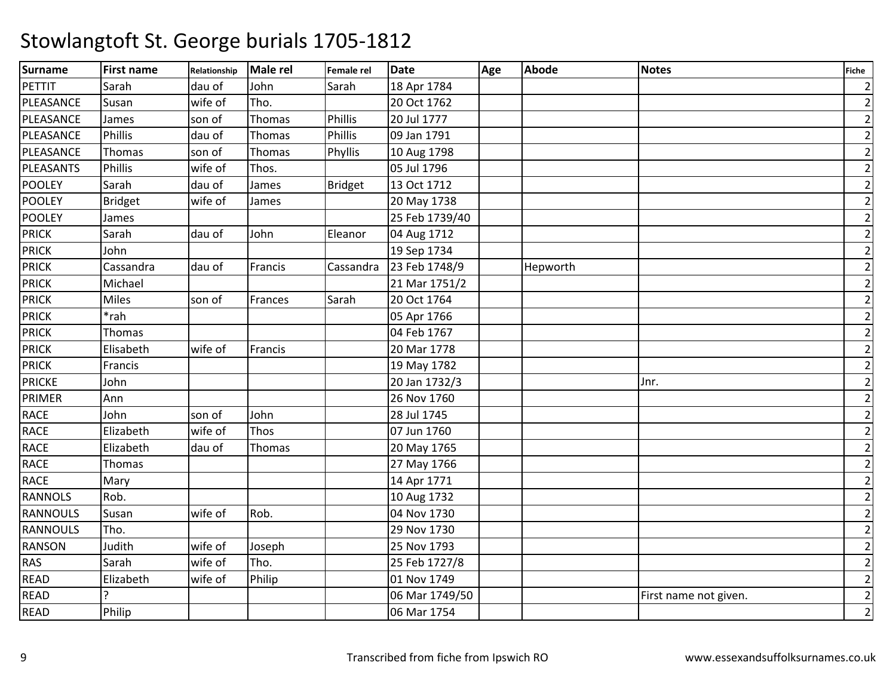| <b>Surname</b>  | <b>First name</b> | Relationship | Male rel | Female rel     | <b>Date</b>    | Age | <b>Abode</b> | <b>Notes</b>          | Fiche          |
|-----------------|-------------------|--------------|----------|----------------|----------------|-----|--------------|-----------------------|----------------|
| PETTIT          | Sarah             | dau of       | John     | Sarah          | 18 Apr 1784    |     |              |                       | $\overline{2}$ |
| PLEASANCE       | Susan             | wife of      | Tho.     |                | 20 Oct 1762    |     |              |                       | $\mathbf{2}$   |
| PLEASANCE       | James             | son of       | Thomas   | Phillis        | 20 Jul 1777    |     |              |                       | $\mathbf{2}$   |
| PLEASANCE       | Phillis           | dau of       | Thomas   | Phillis        | 09 Jan 1791    |     |              |                       | $\overline{2}$ |
| PLEASANCE       | Thomas            | son of       | Thomas   | Phyllis        | 10 Aug 1798    |     |              |                       | $\overline{2}$ |
| PLEASANTS       | Phillis           | wife of      | Thos.    |                | 05 Jul 1796    |     |              |                       | $\overline{2}$ |
| <b>POOLEY</b>   | Sarah             | dau of       | James    | <b>Bridget</b> | 13 Oct 1712    |     |              |                       | $\mathbf{2}$   |
| <b>POOLEY</b>   | <b>Bridget</b>    | wife of      | James    |                | 20 May 1738    |     |              |                       | $\mathbf{2}$   |
| <b>POOLEY</b>   | James             |              |          |                | 25 Feb 1739/40 |     |              |                       | $\mathbf{2}$   |
| <b>PRICK</b>    | Sarah             | dau of       | John     | Eleanor        | 04 Aug 1712    |     |              |                       | $\mathbf{2}$   |
| <b>PRICK</b>    | John              |              |          |                | 19 Sep 1734    |     |              |                       | $\overline{2}$ |
| <b>PRICK</b>    | Cassandra         | dau of       | Francis  | Cassandra      | 23 Feb 1748/9  |     | Hepworth     |                       | $\overline{2}$ |
| <b>PRICK</b>    | Michael           |              |          |                | 21 Mar 1751/2  |     |              |                       | $\mathbf{2}$   |
| <b>PRICK</b>    | Miles             | son of       | Frances  | Sarah          | 20 Oct 1764    |     |              |                       | $\mathbf{2}$   |
| <b>PRICK</b>    | *rah              |              |          |                | 05 Apr 1766    |     |              |                       | $\mathbf{2}$   |
| <b>PRICK</b>    | Thomas            |              |          |                | 04 Feb 1767    |     |              |                       | $\overline{2}$ |
| <b>PRICK</b>    | Elisabeth         | wife of      | Francis  |                | 20 Mar 1778    |     |              |                       | $\mathbf{2}$   |
| <b>PRICK</b>    | Francis           |              |          |                | 19 May 1782    |     |              |                       | $\mathbf{2}$   |
| <b>PRICKE</b>   | John              |              |          |                | 20 Jan 1732/3  |     |              | Jnr.                  | $\mathbf{2}$   |
| PRIMER          | Ann               |              |          |                | 26 Nov 1760    |     |              |                       | $\mathbf{2}$   |
| <b>RACE</b>     | John              | son of       | John     |                | 28 Jul 1745    |     |              |                       | $\overline{2}$ |
| <b>RACE</b>     | Elizabeth         | wife of      | Thos     |                | 07 Jun 1760    |     |              |                       | $\overline{2}$ |
| <b>RACE</b>     | Elizabeth         | dau of       | Thomas   |                | 20 May 1765    |     |              |                       | $\mathbf{2}$   |
| <b>RACE</b>     | Thomas            |              |          |                | 27 May 1766    |     |              |                       | $\overline{2}$ |
| <b>RACE</b>     | Mary              |              |          |                | 14 Apr 1771    |     |              |                       | $\mathbf{2}$   |
| <b>RANNOLS</b>  | Rob.              |              |          |                | 10 Aug 1732    |     |              |                       | $\overline{2}$ |
| <b>RANNOULS</b> | Susan             | wife of      | Rob.     |                | 04 Nov 1730    |     |              |                       | $\overline{2}$ |
| <b>RANNOULS</b> | Tho.              |              |          |                | 29 Nov 1730    |     |              |                       | $\mathbf{2}$   |
| <b>RANSON</b>   | Judith            | wife of      | Joseph   |                | 25 Nov 1793    |     |              |                       | $\mathbf{2}$   |
| <b>RAS</b>      | Sarah             | wife of      | Tho.     |                | 25 Feb 1727/8  |     |              |                       | $\overline{2}$ |
| <b>READ</b>     | Elizabeth         | wife of      | Philip   |                | 01 Nov 1749    |     |              |                       | $\mathbf{2}$   |
| <b>READ</b>     |                   |              |          |                | 06 Mar 1749/50 |     |              | First name not given. | $\overline{2}$ |
| <b>READ</b>     | Philip            |              |          |                | 06 Mar 1754    |     |              |                       | $\overline{2}$ |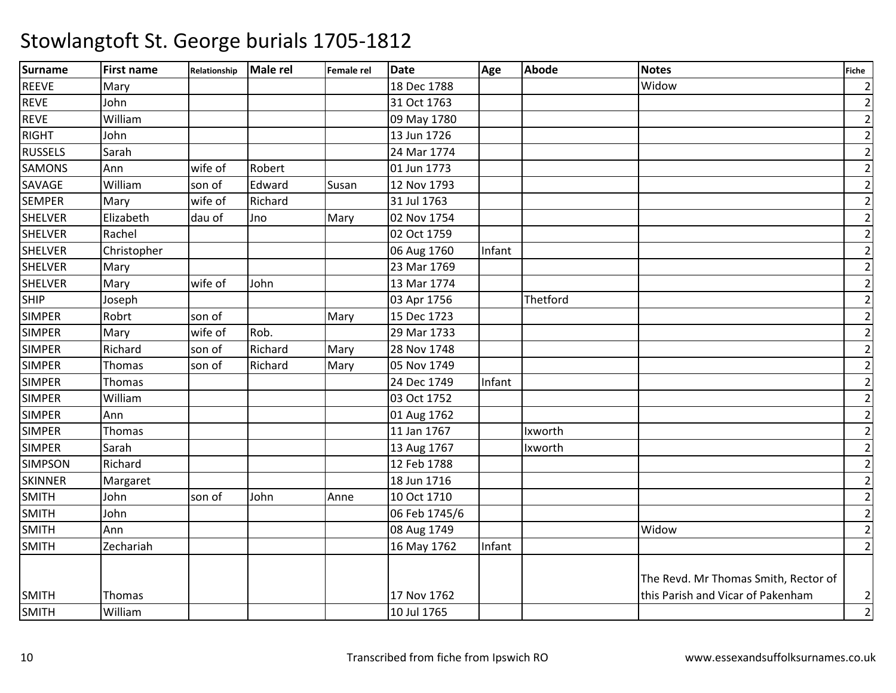| <b>Surname</b> | <b>First name</b> | Relationship | Male rel | Female rel | <b>Date</b>   | Age    | <b>Abode</b> | Notes                                | <b>Fiche</b>   |
|----------------|-------------------|--------------|----------|------------|---------------|--------|--------------|--------------------------------------|----------------|
| <b>REEVE</b>   | Mary              |              |          |            | 18 Dec 1788   |        |              | Widow                                | $\overline{2}$ |
| <b>REVE</b>    | John              |              |          |            | 31 Oct 1763   |        |              |                                      | $\overline{2}$ |
| <b>REVE</b>    | William           |              |          |            | 09 May 1780   |        |              |                                      | $\overline{2}$ |
| <b>RIGHT</b>   | John              |              |          |            | 13 Jun 1726   |        |              |                                      | $\overline{2}$ |
| <b>RUSSELS</b> | Sarah             |              |          |            | 24 Mar 1774   |        |              |                                      | $\overline{2}$ |
| <b>SAMONS</b>  | Ann               | wife of      | Robert   |            | 01 Jun 1773   |        |              |                                      | $\overline{2}$ |
| SAVAGE         | William           | son of       | Edward   | Susan      | 12 Nov 1793   |        |              |                                      | $\overline{2}$ |
| <b>SEMPER</b>  | Mary              | wife of      | Richard  |            | 31 Jul 1763   |        |              |                                      | $\overline{2}$ |
| <b>SHELVER</b> | Elizabeth         | dau of       | Jno      | Mary       | 02 Nov 1754   |        |              |                                      | $\overline{2}$ |
| <b>SHELVER</b> | Rachel            |              |          |            | 02 Oct 1759   |        |              |                                      | $\overline{2}$ |
| <b>SHELVER</b> | Christopher       |              |          |            | 06 Aug 1760   | Infant |              |                                      | $\overline{2}$ |
| <b>SHELVER</b> | Mary              |              |          |            | 23 Mar 1769   |        |              |                                      | $\mathbf 2$    |
| <b>SHELVER</b> | Mary              | wife of      | John     |            | 13 Mar 1774   |        |              |                                      | $\overline{2}$ |
| <b>SHIP</b>    | Joseph            |              |          |            | 03 Apr 1756   |        | Thetford     |                                      | $\overline{2}$ |
| <b>SIMPER</b>  | Robrt             | son of       |          | Mary       | 15 Dec 1723   |        |              |                                      | $\overline{2}$ |
| <b>SIMPER</b>  | Mary              | wife of      | Rob.     |            | 29 Mar 1733   |        |              |                                      | $\overline{2}$ |
| <b>SIMPER</b>  | Richard           | son of       | Richard  | Mary       | 28 Nov 1748   |        |              |                                      | $\overline{2}$ |
| <b>SIMPER</b>  | Thomas            | son of       | Richard  | Mary       | 05 Nov 1749   |        |              |                                      | $\overline{2}$ |
| <b>SIMPER</b>  | Thomas            |              |          |            | 24 Dec 1749   | Infant |              |                                      | $\overline{2}$ |
| <b>SIMPER</b>  | William           |              |          |            | 03 Oct 1752   |        |              |                                      | $\overline{2}$ |
| <b>SIMPER</b>  | Ann               |              |          |            | 01 Aug 1762   |        |              |                                      | $\overline{2}$ |
| <b>SIMPER</b>  | Thomas            |              |          |            | 11 Jan 1767   |        | Ixworth      |                                      | $\overline{2}$ |
| <b>SIMPER</b>  | Sarah             |              |          |            | 13 Aug 1767   |        | Ixworth      |                                      | $\mathbf 2$    |
| <b>SIMPSON</b> | Richard           |              |          |            | 12 Feb 1788   |        |              |                                      | $\overline{2}$ |
| <b>SKINNER</b> | Margaret          |              |          |            | 18 Jun 1716   |        |              |                                      | $\overline{2}$ |
| <b>SMITH</b>   | John              | son of       | John     | Anne       | 10 Oct 1710   |        |              |                                      | $\overline{2}$ |
| <b>SMITH</b>   | John              |              |          |            | 06 Feb 1745/6 |        |              |                                      | $\overline{2}$ |
| <b>SMITH</b>   | Ann               |              |          |            | 08 Aug 1749   |        |              | Widow                                | $\overline{2}$ |
| <b>SMITH</b>   | Zechariah         |              |          |            | 16 May 1762   | Infant |              |                                      | $\overline{2}$ |
|                |                   |              |          |            |               |        |              | The Revd. Mr Thomas Smith, Rector of |                |
| <b>SMITH</b>   | Thomas            |              |          |            | 17 Nov 1762   |        |              | this Parish and Vicar of Pakenham    | $\overline{2}$ |
| <b>SMITH</b>   | William           |              |          |            | 10 Jul 1765   |        |              |                                      | $\overline{2}$ |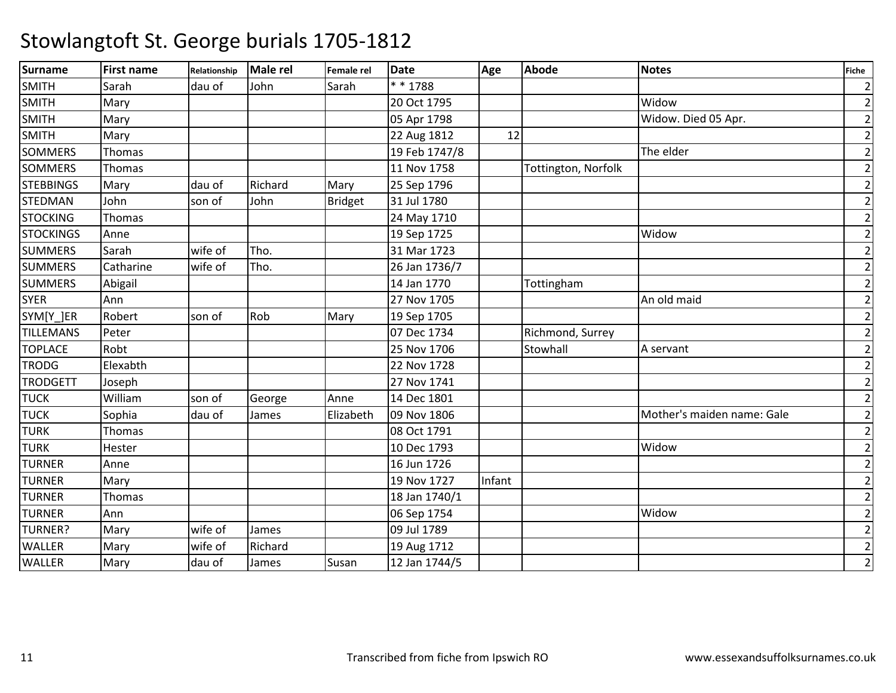| <b>Surname</b>   | <b>First name</b> | Relationship | Male rel | Female rel     | <b>Date</b>   | Age    | <b>Abode</b>        | <b>Notes</b>               | Fiche          |
|------------------|-------------------|--------------|----------|----------------|---------------|--------|---------------------|----------------------------|----------------|
| <b>SMITH</b>     | Sarah             | dau of       | John     | Sarah          | * * 1788      |        |                     |                            | $\overline{2}$ |
| <b>SMITH</b>     | Mary              |              |          |                | 20 Oct 1795   |        |                     | Widow                      | $\overline{2}$ |
| <b>SMITH</b>     | Mary              |              |          |                | 05 Apr 1798   |        |                     | Widow. Died 05 Apr.        | $\mathbf{2}$   |
| <b>SMITH</b>     | Mary              |              |          |                | 22 Aug 1812   | 12     |                     |                            | $\mathbf{2}$   |
| <b>SOMMERS</b>   | Thomas            |              |          |                | 19 Feb 1747/8 |        |                     | The elder                  | $\mathbf{2}$   |
| <b>SOMMERS</b>   | Thomas            |              |          |                | 11 Nov 1758   |        | Tottington, Norfolk |                            | $\overline{2}$ |
| <b>STEBBINGS</b> | Mary              | dau of       | Richard  | Mary           | 25 Sep 1796   |        |                     |                            | $\mathbf{2}$   |
| <b>STEDMAN</b>   | John              | son of       | John     | <b>Bridget</b> | 31 Jul 1780   |        |                     |                            | $\mathbf{2}$   |
| <b>STOCKING</b>  | Thomas            |              |          |                | 24 May 1710   |        |                     |                            | $\mathbf{2}$   |
| <b>STOCKINGS</b> | Anne              |              |          |                | 19 Sep 1725   |        |                     | Widow                      | $\overline{2}$ |
| <b>SUMMERS</b>   | Sarah             | wife of      | Tho.     |                | 31 Mar 1723   |        |                     |                            | $\overline{2}$ |
| <b>SUMMERS</b>   | Catharine         | wife of      | Tho.     |                | 26 Jan 1736/7 |        |                     |                            | $\overline{2}$ |
| <b>SUMMERS</b>   | Abigail           |              |          |                | 14 Jan 1770   |        | Tottingham          |                            | $\mathbf{2}$   |
| <b>SYER</b>      | Ann               |              |          |                | 27 Nov 1705   |        |                     | An old maid                | $\mathbf{2}$   |
| SYM[Y_]ER        | Robert            | son of       | Rob      | Mary           | 19 Sep 1705   |        |                     |                            | $\mathbf{2}$   |
| <b>TILLEMANS</b> | Peter             |              |          |                | 07 Dec 1734   |        | Richmond, Surrey    |                            | $\overline{2}$ |
| <b>TOPLACE</b>   | Robt              |              |          |                | 25 Nov 1706   |        | Stowhall            | A servant                  | $2\vert$       |
| <b>TRODG</b>     | Elexabth          |              |          |                | 22 Nov 1728   |        |                     |                            | $\mathbf{2}$   |
| <b>TRODGETT</b>  | Joseph            |              |          |                | 27 Nov 1741   |        |                     |                            | $\mathbf{2}$   |
| <b>TUCK</b>      | William           | son of       | George   | Anne           | 14 Dec 1801   |        |                     |                            | $\overline{2}$ |
| <b>TUCK</b>      | Sophia            | dau of       | James    | Elizabeth      | 09 Nov 1806   |        |                     | Mother's maiden name: Gale | $\overline{2}$ |
| <b>TURK</b>      | Thomas            |              |          |                | 08 Oct 1791   |        |                     |                            | $\overline{2}$ |
| <b>TURK</b>      | Hester            |              |          |                | 10 Dec 1793   |        |                     | Widow                      | $\mathbf{2}$   |
| <b>TURNER</b>    | Anne              |              |          |                | 16 Jun 1726   |        |                     |                            | $\mathbf{2}$   |
| <b>TURNER</b>    | Mary              |              |          |                | 19 Nov 1727   | Infant |                     |                            | $\overline{2}$ |
| <b>TURNER</b>    | Thomas            |              |          |                | 18 Jan 1740/1 |        |                     |                            | $\overline{2}$ |
| <b>TURNER</b>    | Ann               |              |          |                | 06 Sep 1754   |        |                     | Widow                      | $\mathbf{2}$   |
| <b>TURNER?</b>   | Mary              | wife of      | James    |                | 09 Jul 1789   |        |                     |                            | $\mathbf{2}$   |
| <b>WALLER</b>    | Mary              | wife of      | Richard  |                | 19 Aug 1712   |        |                     |                            | $\mathbf{2}$   |
| <b>WALLER</b>    | Mary              | dau of       | James    | Susan          | 12 Jan 1744/5 |        |                     |                            | $\overline{2}$ |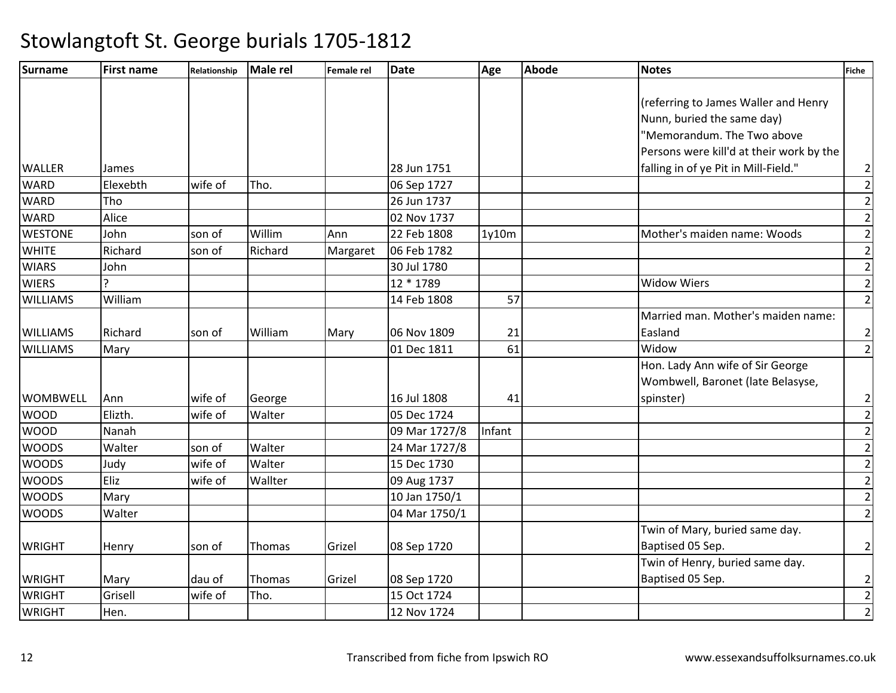| Surname         | <b>First name</b> | Relationship | <b>Male rel</b> | Female rel | Date          | Age    | <b>Abode</b> | <b>Notes</b>                             | <b>Fiche</b>            |
|-----------------|-------------------|--------------|-----------------|------------|---------------|--------|--------------|------------------------------------------|-------------------------|
|                 |                   |              |                 |            |               |        |              |                                          |                         |
|                 |                   |              |                 |            |               |        |              | (referring to James Waller and Henry     |                         |
|                 |                   |              |                 |            |               |        |              | Nunn, buried the same day)               |                         |
|                 |                   |              |                 |            |               |        |              | "Memorandum. The Two above               |                         |
|                 |                   |              |                 |            |               |        |              | Persons were kill'd at their work by the |                         |
| <b>WALLER</b>   | James             |              |                 |            | 28 Jun 1751   |        |              | falling in of ye Pit in Mill-Field."     | $\overline{\mathbf{c}}$ |
| <b>WARD</b>     | Elexebth          | wife of      | Tho.            |            | 06 Sep 1727   |        |              |                                          | $\overline{2}$          |
| <b>WARD</b>     | Tho               |              |                 |            | 26 Jun 1737   |        |              |                                          | $\overline{2}$          |
| <b>WARD</b>     | Alice             |              |                 |            | 02 Nov 1737   |        |              |                                          | $\overline{2}$          |
| <b>WESTONE</b>  | John              | son of       | Willim          | Ann        | 22 Feb 1808   | 1y10m  |              | Mother's maiden name: Woods              | $\mathbf{2}$            |
| <b>WHITE</b>    | Richard           | son of       | Richard         | Margaret   | 06 Feb 1782   |        |              |                                          | $\overline{2}$          |
| <b>WIARS</b>    | John              |              |                 |            | 30 Jul 1780   |        |              |                                          | $\overline{2}$          |
| <b>WIERS</b>    | $\overline{a}$    |              |                 |            | 12 * 1789     |        |              | <b>Widow Wiers</b>                       | $\overline{2}$          |
| <b>WILLIAMS</b> | William           |              |                 |            | 14 Feb 1808   | 57     |              |                                          | $\overline{2}$          |
|                 |                   |              |                 |            |               |        |              | Married man. Mother's maiden name:       |                         |
| <b>WILLIAMS</b> | Richard           | son of       | William         | Mary       | 06 Nov 1809   | 21     |              | Easland                                  | $\overline{2}$          |
| <b>WILLIAMS</b> | Mary              |              |                 |            | 01 Dec 1811   | 61     |              | Widow                                    | $\overline{2}$          |
|                 |                   |              |                 |            |               |        |              | Hon. Lady Ann wife of Sir George         |                         |
|                 |                   |              |                 |            |               |        |              | Wombwell, Baronet (late Belasyse,        |                         |
| <b>WOMBWELL</b> | Ann               | wife of      | George          |            | 16 Jul 1808   | 41     |              | spinster)                                | $\overline{\mathbf{c}}$ |
| <b>WOOD</b>     | Elizth.           | wife of      | Walter          |            | 05 Dec 1724   |        |              |                                          | $\overline{2}$          |
| <b>WOOD</b>     | Nanah             |              |                 |            | 09 Mar 1727/8 | Infant |              |                                          | $\overline{2}$          |
| <b>WOODS</b>    | Walter            | son of       | Walter          |            | 24 Mar 1727/8 |        |              |                                          | $\overline{2}$          |
| <b>WOODS</b>    | Judy              | wife of      | Walter          |            | 15 Dec 1730   |        |              |                                          | $\overline{2}$          |
| <b>WOODS</b>    | Eliz              | wife of      | Wallter         |            | 09 Aug 1737   |        |              |                                          | $\mathbf{2}$            |
| <b>WOODS</b>    | Mary              |              |                 |            | 10 Jan 1750/1 |        |              |                                          | $\overline{2}$          |
| <b>WOODS</b>    | Walter            |              |                 |            | 04 Mar 1750/1 |        |              |                                          | $\overline{2}$          |
|                 |                   |              |                 |            |               |        |              | Twin of Mary, buried same day.           |                         |
| <b>WRIGHT</b>   | Henry             | son of       | Thomas          | Grizel     | 08 Sep 1720   |        |              | Baptised 05 Sep.                         | $\overline{2}$          |
|                 |                   |              |                 |            |               |        |              | Twin of Henry, buried same day.          |                         |
| <b>WRIGHT</b>   | Mary              | dau of       | Thomas          | Grizel     | 08 Sep 1720   |        |              | Baptised 05 Sep.                         | $\mathbf{2}$            |
| <b>WRIGHT</b>   | Grisell           | wife of      | Tho.            |            | 15 Oct 1724   |        |              |                                          | $\overline{2}$          |
| <b>WRIGHT</b>   | Hen.              |              |                 |            | 12 Nov 1724   |        |              |                                          | $\overline{2}$          |